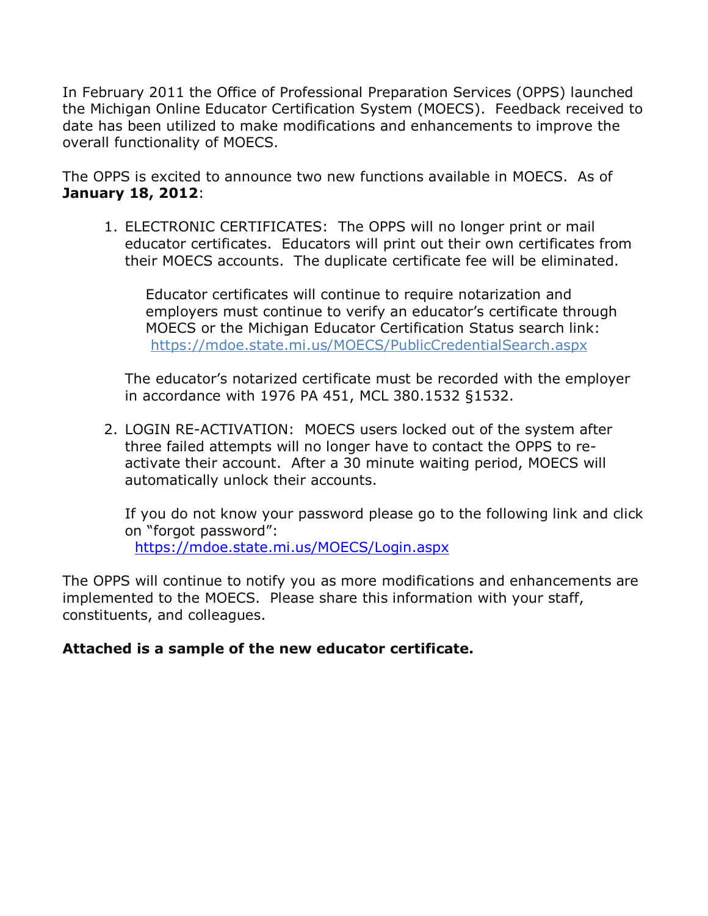In February 2011 the Office of Professional Preparation Services (OPPS) launched the Michigan Online Educator Certification System (MOECS). Feedback received to date has been utilized to make modifications and enhancements to improve the overall functionality of MOECS.

The OPPS is excited to announce two new functions available in MOECS. As of **January 18, 2012**:

1. ELECTRONIC CERTIFICATES: The OPPS will no longer print or mail educator certificates. Educators will print out their own certificates from their MOECS accounts. The duplicate certificate fee will be eliminated.

Educator certificates will continue to require notarization and employers must continue to verify an educator's certificate through MOECS or the Michigan Educator Certification Status search link: https://mdoe.state.mi.us/MOECS/PublicCredentialSearch.aspx

The educator's notarized certificate must be recorded with the employer in accordance with 1976 PA 451, MCL 380.1532 §1532.

2. LOGIN RE-ACTIVATION: MOECS users locked out of the system after three failed attempts will no longer have to contact the OPPS to reactivate their account. After a 30 minute waiting period, MOECS will automatically unlock their accounts.

If you do not know your password please go to the following link and click on "forgot password": https://mdoe.state.mi.us/MOECS/Login.aspx

The OPPS will continue to notify you as more modifications and enhancements are implemented to the MOECS. Please share this information with your staff, constituents, and colleagues.

## **Attached is a sample of the new educator certificate.**